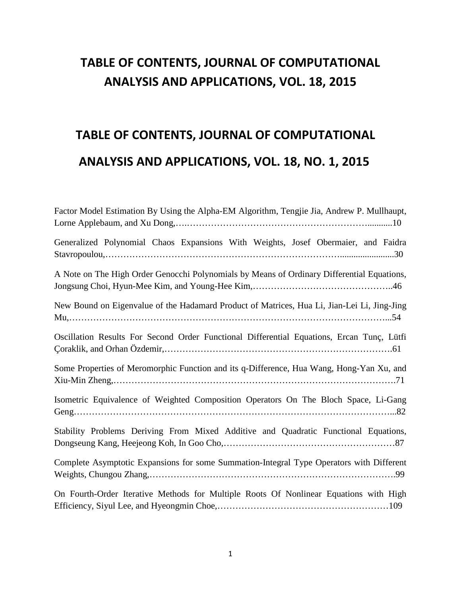# **TABLE OF CONTENTS, JOURNAL OF COMPUTATIONAL ANALYSIS AND APPLICATIONS, VOL. 18, 2015**

# **TABLE OF CONTENTS, JOURNAL OF COMPUTATIONAL ANALYSIS AND APPLICATIONS, VOL. 18, NO. 1, 2015**

| Factor Model Estimation By Using the Alpha-EM Algorithm, Tengjie Jia, Andrew P. Mullhaupt,  |
|---------------------------------------------------------------------------------------------|
| Generalized Polynomial Chaos Expansions With Weights, Josef Obermaier, and Faidra           |
| A Note on The High Order Genocchi Polynomials by Means of Ordinary Differential Equations,  |
| New Bound on Eigenvalue of the Hadamard Product of Matrices, Hua Li, Jian-Lei Li, Jing-Jing |
| Oscillation Results For Second Order Functional Differential Equations, Ercan Tunç, Lütfi   |
| Some Properties of Meromorphic Function and its q-Difference, Hua Wang, Hong-Yan Xu, and    |
| Isometric Equivalence of Weighted Composition Operators On The Bloch Space, Li-Gang         |
| Stability Problems Deriving From Mixed Additive and Quadratic Functional Equations,         |
| Complete Asymptotic Expansions for some Summation-Integral Type Operators with Different    |
| On Fourth-Order Iterative Methods for Multiple Roots Of Nonlinear Equations with High       |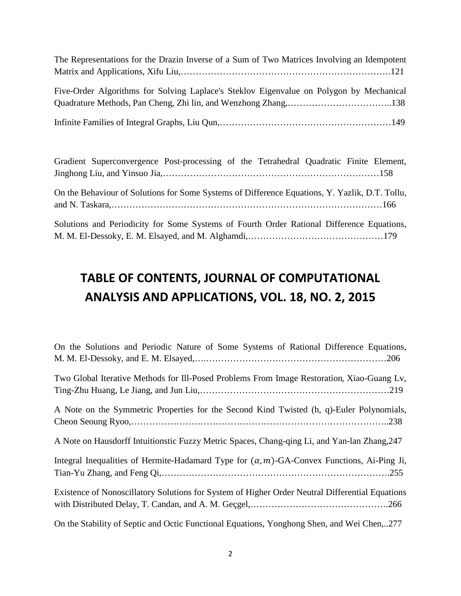| The Representations for the Drazin Inverse of a Sum of Two Matrices Involving an Idempotent |  |
|---------------------------------------------------------------------------------------------|--|
|                                                                                             |  |
|                                                                                             |  |
| Five-Order Algorithms for Solving Laplace's Steklov Eigenvalue on Polygon by Mechanical     |  |
|                                                                                             |  |
|                                                                                             |  |
|                                                                                             |  |
|                                                                                             |  |

| Gradient Superconvergence Post-processing of the Tetrahedral Quadratic Finite Element,         |  |  |  |
|------------------------------------------------------------------------------------------------|--|--|--|
|                                                                                                |  |  |  |
| On the Behaviour of Solutions for Some Systems of Difference Equations, Y. Yazlik, D.T. Tollu, |  |  |  |
| Solutions and Periodicity for Some Systems of Fourth Order Rational Difference Equations,      |  |  |  |
|                                                                                                |  |  |  |

# **TABLE OF CONTENTS, JOURNAL OF COMPUTATIONAL ANALYSIS AND APPLICATIONS, VOL. 18, NO. 2, 2015**

| On the Solutions and Periodic Nature of Some Systems of Rational Difference Equations,             |
|----------------------------------------------------------------------------------------------------|
|                                                                                                    |
|                                                                                                    |
| Two Global Iterative Methods for Ill-Posed Problems From Image Restoration, Xiao-Guang Lv,         |
|                                                                                                    |
| A Note on the Symmetric Properties for the Second Kind Twisted (h, q)-Euler Polynomials,           |
|                                                                                                    |
|                                                                                                    |
| A Note on Hausdorff Intuitionstic Fuzzy Metric Spaces, Chang-qing Li, and Yan-lan Zhang, 247       |
| Integral Inequalities of Hermite-Hadamard Type for $(\alpha, m)$ -GA-Convex Functions, Ai-Ping Ji, |
|                                                                                                    |
|                                                                                                    |
| Existence of Nonoscillatory Solutions for System of Higher Order Neutral Differential Equations    |
|                                                                                                    |
|                                                                                                    |
| On the Stability of Septic and Octic Functional Equations, Yonghong Shen, and Wei Chen,277         |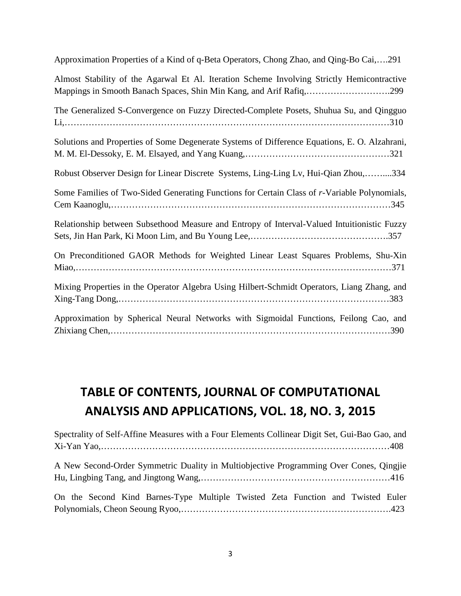Approximation Properties of a Kind of q-Beta Operators, Chong Zhao, and Qing-Bo Cai,….291

Almost Stability of the Agarwal Et Al. Iteration Scheme Involving Strictly Hemicontractive Mappings in Smooth Banach Spaces, Shin Min Kang, and Arif Rafiq,……………………….299

| The Generalized S-Convergence on Fuzzy Directed-Complete Posets, Shuhua Su, and Qingguo       |
|-----------------------------------------------------------------------------------------------|
| Solutions and Properties of Some Degenerate Systems of Difference Equations, E. O. Alzahrani, |
| Robust Observer Design for Linear Discrete Systems, Ling-Ling Lv, Hui-Qian Zhou,334           |
| Some Families of Two-Sided Generating Functions for Certain Class of r-Variable Polynomials,  |
| Relationship between Subsethood Measure and Entropy of Interval-Valued Intuitionistic Fuzzy   |
| On Preconditioned GAOR Methods for Weighted Linear Least Squares Problems, Shu-Xin            |
| Mixing Properties in the Operator Algebra Using Hilbert-Schmidt Operators, Liang Zhang, and   |
| Approximation by Spherical Neural Networks with Sigmoidal Functions, Feilong Cao, and         |

#### **TABLE OF CONTENTS, JOURNAL OF COMPUTATIONAL ANALYSIS AND APPLICATIONS, VOL. 18, NO. 3, 2015**

| Spectrality of Self-Affine Measures with a Four Elements Collinear Digit Set, Gui-Bao Gao, and |  |
|------------------------------------------------------------------------------------------------|--|
|                                                                                                |  |
| A New Second-Order Symmetric Duality in Multiobjective Programming Over Cones, Qingjie         |  |
| On the Second Kind Barnes-Type Multiple Twisted Zeta Function and Twisted Euler                |  |
|                                                                                                |  |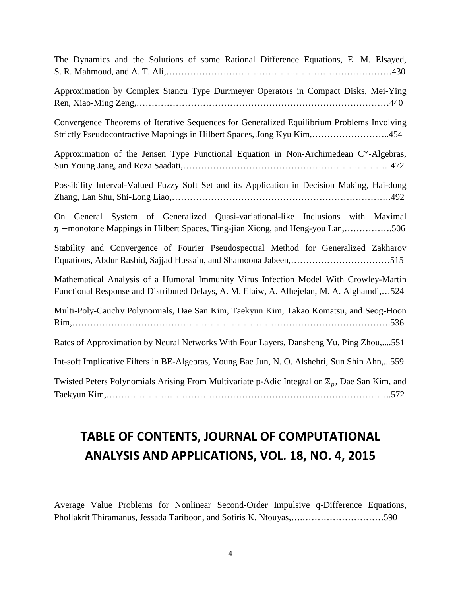| The Dynamics and the Solutions of some Rational Difference Equations, E. M. Elsayed,                                                                                               |
|------------------------------------------------------------------------------------------------------------------------------------------------------------------------------------|
| Approximation by Complex Stancu Type Durrmeyer Operators in Compact Disks, Mei-Ying                                                                                                |
| Convergence Theorems of Iterative Sequences for Generalized Equilibrium Problems Involving<br>Strictly Pseudocontractive Mappings in Hilbert Spaces, Jong Kyu Kim,454              |
| Approximation of the Jensen Type Functional Equation in Non-Archimedean C*-Algebras,                                                                                               |
| Possibility Interval-Valued Fuzzy Soft Set and its Application in Decision Making, Hai-dong                                                                                        |
| General System of Generalized Quasi-variational-like Inclusions with Maximal<br>On<br>$\eta$ –monotone Mappings in Hilbert Spaces, Ting-jian Xiong, and Heng-you Lan,506           |
| Stability and Convergence of Fourier Pseudospectral Method for Generalized Zakharov                                                                                                |
| Mathematical Analysis of a Humoral Immunity Virus Infection Model With Crowley-Martin<br>Functional Response and Distributed Delays, A. M. Elaiw, A. Alhejelan, M. A. Alghamdi,524 |
| Multi-Poly-Cauchy Polynomials, Dae San Kim, Taekyun Kim, Takao Komatsu, and Seog-Hoon                                                                                              |
| Rates of Approximation by Neural Networks With Four Layers, Dansheng Yu, Ping Zhou,551                                                                                             |
| Int-soft Implicative Filters in BE-Algebras, Young Bae Jun, N. O. Alshehri, Sun Shin Ahn,559                                                                                       |
| Twisted Peters Polynomials Arising From Multivariate p-Adic Integral on $\mathbb{Z}_p$ , Dae San Kim, and                                                                          |

## **TABLE OF CONTENTS, JOURNAL OF COMPUTATIONAL ANALYSIS AND APPLICATIONS, VOL. 18, NO. 4, 2015**

Average Value Problems for Nonlinear Second-Order Impulsive q-Difference Equations, Phollakrit Thiramanus, Jessada Tariboon, and Sotiris K. Ntouyas,….………………………590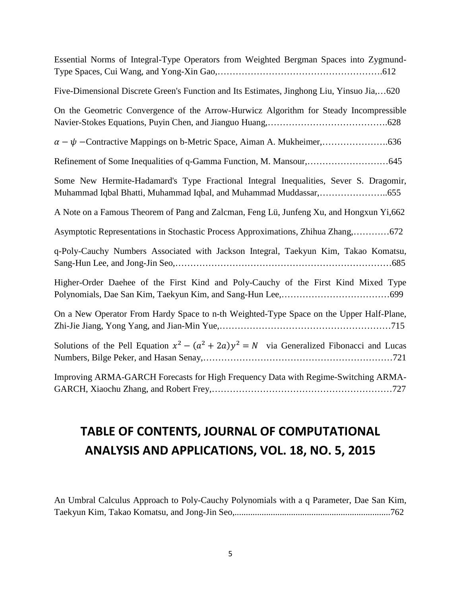| Essential Norms of Integral-Type Operators from Weighted Bergman Spaces into Zygmund-        |
|----------------------------------------------------------------------------------------------|
| Five-Dimensional Discrete Green's Function and Its Estimates, Jinghong Liu, Yinsuo Jia,620   |
| On the Geometric Convergence of the Arrow-Hurwicz Algorithm for Steady Incompressible        |
|                                                                                              |
|                                                                                              |
| Some New Hermite-Hadamard's Type Fractional Integral Inequalities, Sever S. Dragomir,        |
| A Note on a Famous Theorem of Pang and Zalcman, Feng Lü, Junfeng Xu, and Hongxun Yi, 662     |
| Asymptotic Representations in Stochastic Process Approximations, Zhihua Zhang,672            |
| q-Poly-Cauchy Numbers Associated with Jackson Integral, Taekyun Kim, Takao Komatsu,          |
| Higher-Order Daehee of the First Kind and Poly-Cauchy of the First Kind Mixed Type           |
| On a New Operator From Hardy Space to n-th Weighted-Type Space on the Upper Half-Plane,      |
| Solutions of the Pell Equation $x^2 - (a^2 + 2a)y^2 = N$ via Generalized Fibonacci and Lucas |
| Improving ARMA-GARCH Forecasts for High Frequency Data with Regime-Switching ARMA-           |

## **TABLE OF CONTENTS, JOURNAL OF COMPUTATIONAL ANALYSIS AND APPLICATIONS, VOL. 18, NO. 5, 2015**

An Umbral Calculus Approach to Poly-Cauchy Polynomials with a q Parameter, Dae San Kim, Taekyun Kim, Takao Komatsu, and Jong-Jin Seo,.....................................................................762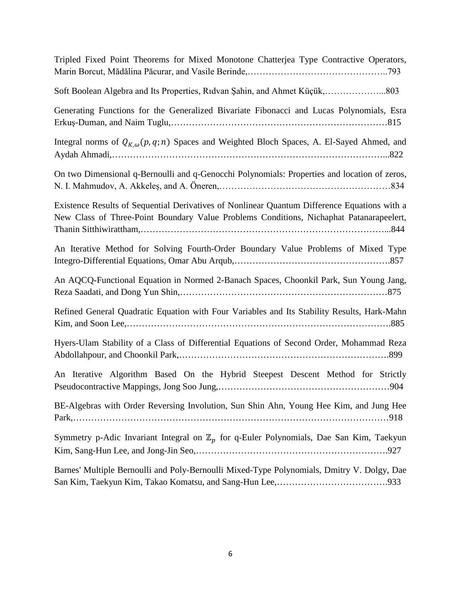| Tripled Fixed Point Theorems for Mixed Monotone Chatterjea Type Contractive Operators,                                                                                                  |
|-----------------------------------------------------------------------------------------------------------------------------------------------------------------------------------------|
| Soft Boolean Algebra and Its Properties, Rıdvan Şahin, and Ahmet Küçük,803                                                                                                              |
| Generating Functions for the Generalized Bivariate Fibonacci and Lucas Polynomials, Esra                                                                                                |
| Integral norms of $Q_{K,\omega}(p,q;n)$ Spaces and Weighted Bloch Spaces, A. El-Sayed Ahmed, and                                                                                        |
| On two Dimensional q-Bernoulli and q-Genocchi Polynomials: Properties and location of zeros,                                                                                            |
| Existence Results of Sequential Derivatives of Nonlinear Quantum Difference Equations with a<br>New Class of Three-Point Boundary Value Problems Conditions, Nichaphat Patanarapeelert, |
| An Iterative Method for Solving Fourth-Order Boundary Value Problems of Mixed Type                                                                                                      |
| An AQCQ-Functional Equation in Normed 2-Banach Spaces, Choonkil Park, Sun Young Jang,                                                                                                   |
| Refined General Quadratic Equation with Four Variables and Its Stability Results, Hark-Mahn                                                                                             |
| Hyers-Ulam Stability of a Class of Differential Equations of Second Order, Mohammad Reza                                                                                                |
| An Iterative Algorithm Based On the Hybrid Steepest Descent Method for Strictly                                                                                                         |
| BE-Algebras with Order Reversing Involution, Sun Shin Ahn, Young Hee Kim, and Jung Hee                                                                                                  |
| Symmetry p-Adic Invariant Integral on $\mathbb{Z}_p$ for q-Euler Polynomials, Dae San Kim, Taekyun                                                                                      |
| Barnes' Multiple Bernoulli and Poly-Bernoulli Mixed-Type Polynomials, Dmitry V. Dolgy, Dae                                                                                              |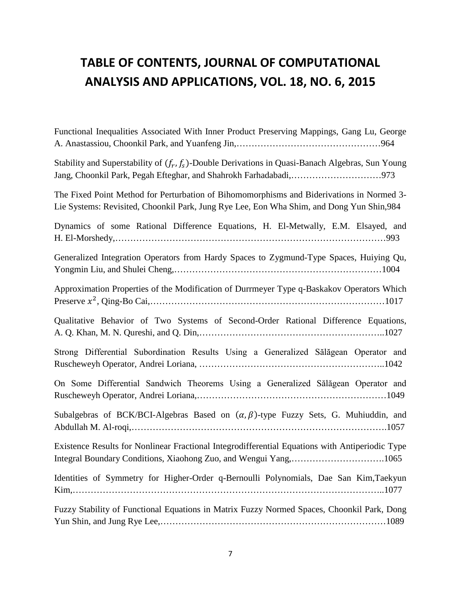# **TABLE OF CONTENTS, JOURNAL OF COMPUTATIONAL ANALYSIS AND APPLICATIONS, VOL. 18, NO. 6, 2015**

| Functional Inequalities Associated With Inner Product Preserving Mappings, Gang Lu, George                                                                                             |
|----------------------------------------------------------------------------------------------------------------------------------------------------------------------------------------|
| Stability and Superstability of $(f_r, f_s)$ -Double Derivations in Quasi-Banach Algebras, Sun Young                                                                                   |
| The Fixed Point Method for Perturbation of Bihomomorphisms and Biderivations in Normed 3-<br>Lie Systems: Revisited, Choonkil Park, Jung Rye Lee, Eon Wha Shim, and Dong Yun Shin, 984 |
| Dynamics of some Rational Difference Equations, H. El-Metwally, E.M. Elsayed, and                                                                                                      |
| Generalized Integration Operators from Hardy Spaces to Zygmund-Type Spaces, Huiying Qu,                                                                                                |
| Approximation Properties of the Modification of Durrmeyer Type q-Baskakov Operators Which                                                                                              |
| Qualitative Behavior of Two Systems of Second-Order Rational Difference Equations,                                                                                                     |
| Strong Differential Subordination Results Using a Generalized Sălăgean Operator and                                                                                                    |
| On Some Differential Sandwich Theorems Using a Generalized Sălăgean Operator and                                                                                                       |
| Subalgebras of BCK/BCI-Algebras Based on $(\alpha, \beta)$ -type Fuzzy Sets, G. Muhiuddin, and                                                                                         |
| Existence Results for Nonlinear Fractional Integrodifferential Equations with Antiperiodic Type<br>Integral Boundary Conditions, Xiaohong Zuo, and Wengui Yang,1065                    |
| Identities of Symmetry for Higher-Order q-Bernoulli Polynomials, Dae San Kim, Taekyun                                                                                                  |
| Fuzzy Stability of Functional Equations in Matrix Fuzzy Normed Spaces, Choonkil Park, Dong                                                                                             |